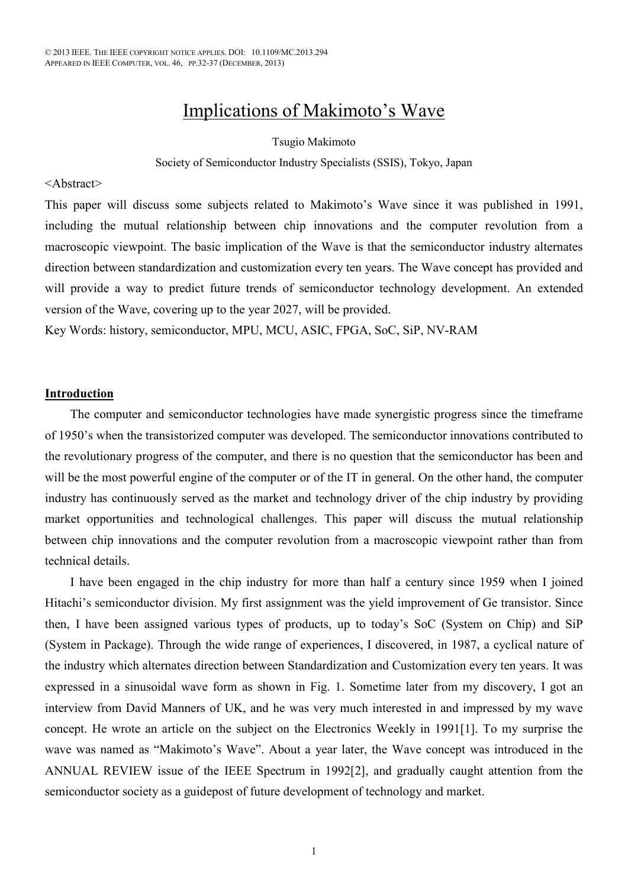# Implications of Makimoto's Wave

#### Tsugio Makimoto

#### Society of Semiconductor Industry Specialists (SSIS), Tokyo, Japan

#### <Abstract>

This paper will discuss some subjects related to Makimoto's Wave since it was published in 1991, including the mutual relationship between chip innovations and the computer revolution from a macroscopic viewpoint. The basic implication of the Wave is that the semiconductor industry alternates direction between standardization and customization every ten years. The Wave concept has provided and will provide a way to predict future trends of semiconductor technology development. An extended version of the Wave, covering up to the year 2027, will be provided.

Key Words: history, semiconductor, MPU, MCU, ASIC, FPGA, SoC, SiP, NV-RAM

#### **Introduction**

The computer and semiconductor technologies have made synergistic progress since the timeframe of 1950's when the transistorized computer was developed. The semiconductor innovations contributed to the revolutionary progress of the computer, and there is no question that the semiconductor has been and will be the most powerful engine of the computer or of the IT in general. On the other hand, the computer industry has continuously served as the market and technology driver of the chip industry by providing market opportunities and technological challenges. This paper will discuss the mutual relationship between chip innovations and the computer revolution from a macroscopic viewpoint rather than from technical details.

I have been engaged in the chip industry for more than half a century since 1959 when I joined Hitachi's semiconductor division. My first assignment was the yield improvement of Ge transistor. Since then, I have been assigned various types of products, up to today's SoC (System on Chip) and SiP (System in Package). Through the wide range of experiences, I discovered, in 1987, a cyclical nature of the industry which alternates direction between Standardization and Customization every ten years. It was expressed in a sinusoidal wave form as shown in Fig. 1. Sometime later from my discovery, I got an interview from David Manners of UK, and he was very much interested in and impressed by my wave concept. He wrote an article on the subject on the Electronics Weekly in 1991[1]. To my surprise the wave was named as "Makimoto's Wave". About a year later, the Wave concept was introduced in the ANNUAL REVIEW issue of the IEEE Spectrum in 1992[2], and gradually caught attention from the semiconductor society as a guidepost of future development of technology and market.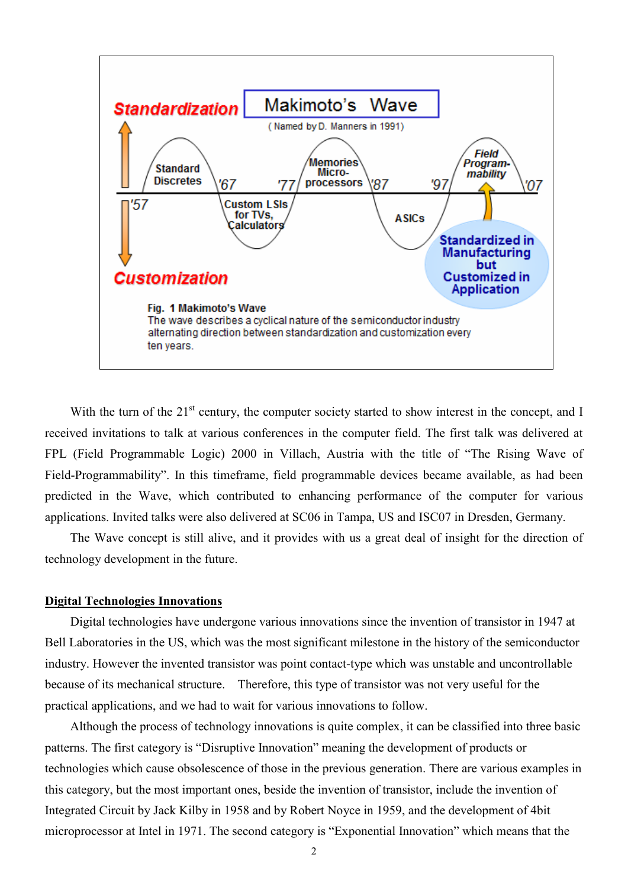

With the turn of the 21<sup>st</sup> century, the computer society started to show interest in the concept, and I received invitations to talk at various conferences in the computer field. The first talk was delivered at FPL (Field Programmable Logic) 2000 in Villach, Austria with the title of "The Rising Wave of Field-Programmability". In this timeframe, field programmable devices became available, as had been predicted in the Wave, which contributed to enhancing performance of the computer for various applications. Invited talks were also delivered at SC06 in Tampa, US and ISC07 in Dresden, Germany.

The Wave concept is still alive, and it provides with us a great deal of insight for the direction of technology development in the future.

# **Digital Technologies Innovations**

Digital technologies have undergone various innovations since the invention of transistor in 1947 at Bell Laboratories in the US, which was the most significant milestone in the history of the semiconductor industry. However the invented transistor was point contact-type which was unstable and uncontrollable because of its mechanical structure. Therefore, this type of transistor was not very useful for the practical applications, and we had to wait for various innovations to follow.

Although the process of technology innovations is quite complex, it can be classified into three basic patterns. The first category is "Disruptive Innovation" meaning the development of products or technologies which cause obsolescence of those in the previous generation. There are various examples in this category, but the most important ones, beside the invention of transistor, include the invention of Integrated Circuit by Jack Kilby in 1958 and by Robert Noyce in 1959, and the development of 4bit microprocessor at Intel in 1971. The second category is "Exponential Innovation" which means that the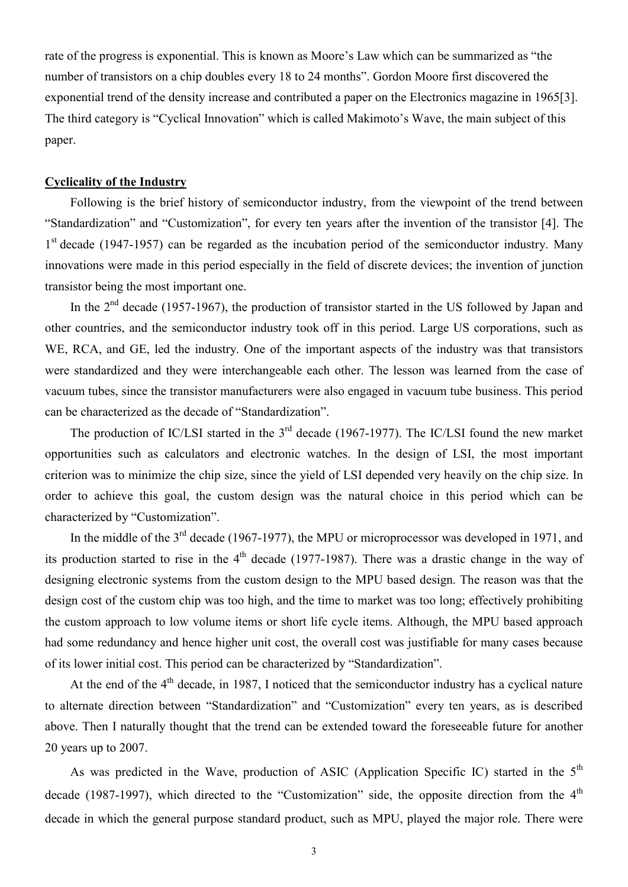rate of the progress is exponential. This is known as Moore's Law which can be summarized as "the number of transistors on a chip doubles every 18 to 24 months". Gordon Moore first discovered the exponential trend of the density increase and contributed a paper on the Electronics magazine in 1965[3]. The third category is "Cyclical Innovation" which is called Makimoto's Wave, the main subject of this paper.

## **Cyclicality of the Industry**

Following is the brief history of semiconductor industry, from the viewpoint of the trend between "Standardization" and "Customization", for every ten years after the invention of the transistor [4]. The 1<sup>st</sup> decade (1947-1957) can be regarded as the incubation period of the semiconductor industry. Many innovations were made in this period especially in the field of discrete devices; the invention of junction transistor being the most important one.

In the  $2<sup>nd</sup>$  decade (1957-1967), the production of transistor started in the US followed by Japan and other countries, and the semiconductor industry took off in this period. Large US corporations, such as WE, RCA, and GE, led the industry. One of the important aspects of the industry was that transistors were standardized and they were interchangeable each other. The lesson was learned from the case of vacuum tubes, since the transistor manufacturers were also engaged in vacuum tube business. This period can be characterized as the decade of "Standardization".

The production of IC/LSI started in the 3<sup>rd</sup> decade (1967-1977). The IC/LSI found the new market opportunities such as calculators and electronic watches. In the design of LSI, the most important criterion was to minimize the chip size, since the yield of LSI depended very heavily on the chip size. In order to achieve this goal, the custom design was the natural choice in this period which can be characterized by "Customization".

In the middle of the 3<sup>rd</sup> decade (1967-1977), the MPU or microprocessor was developed in 1971, and its production started to rise in the  $4<sup>th</sup>$  decade (1977-1987). There was a drastic change in the way of designing electronic systems from the custom design to the MPU based design. The reason was that the design cost of the custom chip was too high, and the time to market was too long; effectively prohibiting the custom approach to low volume items or short life cycle items. Although, the MPU based approach had some redundancy and hence higher unit cost, the overall cost was justifiable for many cases because of its lower initial cost. This period can be characterized by "Standardization".

At the end of the 4<sup>th</sup> decade, in 1987, I noticed that the semiconductor industry has a cyclical nature to alternate direction between "Standardization" and "Customization" every ten years, as is described above. Then I naturally thought that the trend can be extended toward the foreseeable future for another 20 years up to 2007.

As was predicted in the Wave, production of ASIC (Application Specific IC) started in the 5<sup>th</sup> decade (1987-1997), which directed to the "Customization" side, the opposite direction from the  $4<sup>th</sup>$ decade in which the general purpose standard product, such as MPU, played the major role. There were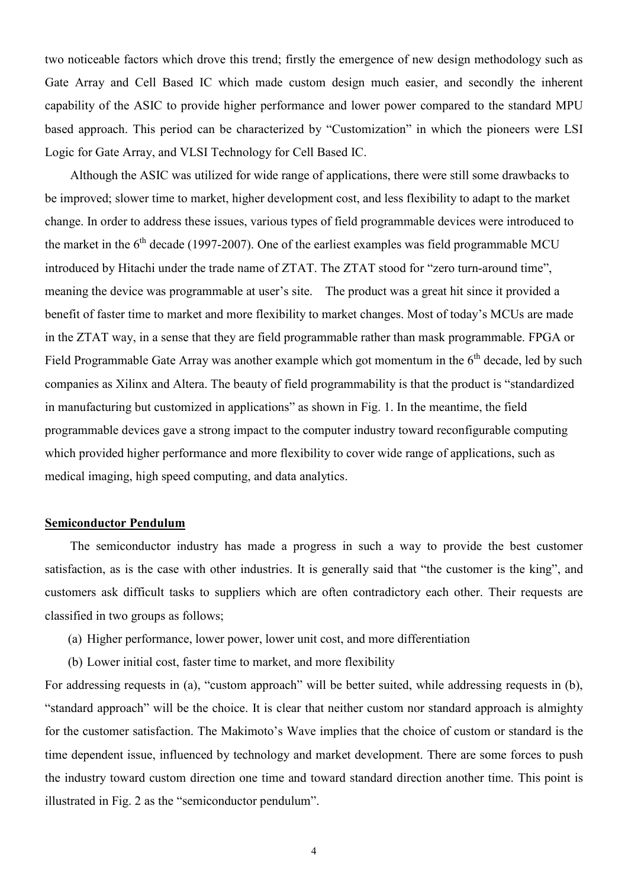two noticeable factors which drove this trend; firstly the emergence of new design methodology such as Gate Array and Cell Based IC which made custom design much easier, and secondly the inherent capability of the ASIC to provide higher performance and lower power compared to the standard MPU based approach. This period can be characterized by "Customization" in which the pioneers were LSI Logic for Gate Array, and VLSI Technology for Cell Based IC.

Although the ASIC was utilized for wide range of applications, there were still some drawbacks to be improved; slower time to market, higher development cost, and less flexibility to adapt to the market change. In order to address these issues, various types of field programmable devices were introduced to the market in the  $6<sup>th</sup>$  decade (1997-2007). One of the earliest examples was field programmable MCU introduced by Hitachi under the trade name of ZTAT. The ZTAT stood for "zero turn-around time", meaning the device was programmable at user's site. The product was a great hit since it provided a benefit of faster time to market and more flexibility to market changes. Most of today's MCUs are made in the ZTAT way, in a sense that they are field programmable rather than mask programmable. FPGA or Field Programmable Gate Array was another example which got momentum in the  $6<sup>th</sup>$  decade, led by such companies as Xilinx and Altera. The beauty of field programmability is that the product is "standardized in manufacturing but customized in applications" as shown in Fig. 1. In the meantime, the field programmable devices gave a strong impact to the computer industry toward reconfigurable computing which provided higher performance and more flexibility to cover wide range of applications, such as medical imaging, high speed computing, and data analytics.

#### **Semiconductor Pendulum**

The semiconductor industry has made a progress in such a way to provide the best customer satisfaction, as is the case with other industries. It is generally said that "the customer is the king", and customers ask difficult tasks to suppliers which are often contradictory each other. Their requests are classified in two groups as follows;

- (a) Higher performance, lower power, lower unit cost, and more differentiation
- (b) Lower initial cost, faster time to market, and more flexibility

For addressing requests in (a), "custom approach" will be better suited, while addressing requests in (b), "standard approach" will be the choice. It is clear that neither custom nor standard approach is almighty for the customer satisfaction. The Makimoto's Wave implies that the choice of custom or standard is the time dependent issue, influenced by technology and market development. There are some forces to push the industry toward custom direction one time and toward standard direction another time. This point is illustrated in Fig. 2 as the "semiconductor pendulum".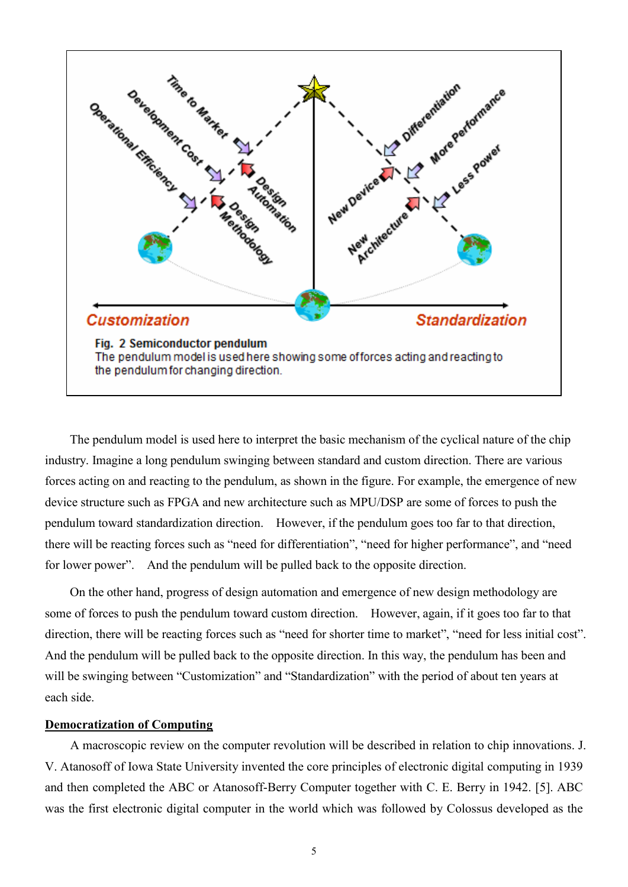

The pendulum model is used here to interpret the basic mechanism of the cyclical nature of the chip industry. Imagine a long pendulum swinging between standard and custom direction. There are various forces acting on and reacting to the pendulum, as shown in the figure. For example, the emergence of new device structure such as FPGA and new architecture such as MPU/DSP are some of forces to push the pendulum toward standardization direction. However, if the pendulum goes too far to that direction, there will be reacting forces such as "need for differentiation", "need for higher performance", and "need for lower power". And the pendulum will be pulled back to the opposite direction.

On the other hand, progress of design automation and emergence of new design methodology are some of forces to push the pendulum toward custom direction. However, again, if it goes too far to that direction, there will be reacting forces such as "need for shorter time to market", "need for less initial cost". And the pendulum will be pulled back to the opposite direction. In this way, the pendulum has been and will be swinging between "Customization" and "Standardization" with the period of about ten years at each side.

# **Democratization of Computing**

A macroscopic review on the computer revolution will be described in relation to chip innovations. J. V. Atanosoff of Iowa State University invented the core principles of electronic digital computing in 1939 and then completed the ABC or Atanosoff-Berry Computer together with C. E. Berry in 1942. [5]. ABC was the first electronic digital computer in the world which was followed by Colossus developed as the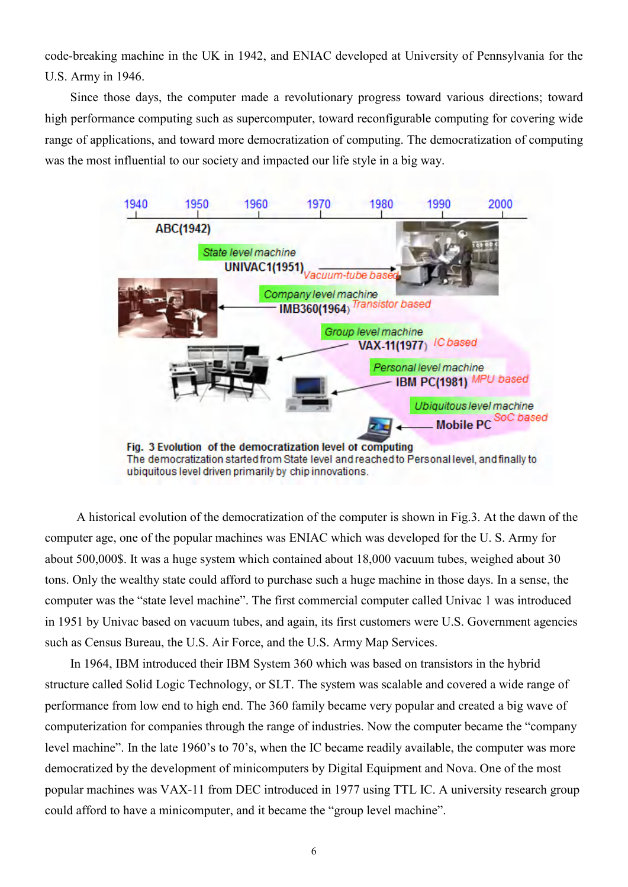code-breaking machine in the UK in 1942, and ENIAC developed at University of Pennsylvania for the U.S. Army in 1946.

Since those days, the computer made a revolutionary progress toward various directions; toward high performance computing such as supercomputer, toward reconfigurable computing for covering wide range of applications, and toward more democratization of computing. The democratization of computing was the most influential to our society and impacted our life style in a big way.



A historical evolution of the democratization of the computer is shown in Fig.3. At the dawn of the computer age, one of the popular machines was ENIAC which was developed for the U. S. Army for about 500,000\$. It was a huge system which contained about 18,000 vacuum tubes, weighed about 30 tons. Only the wealthy state could afford to purchase such a huge machine in those days. In a sense, the computer was the "state level machine". The first commercial computer called Univac 1 was introduced in 1951 by Univac based on vacuum tubes, and again, its first customers were U.S. Government agencies such as Census Bureau, the U.S. Air Force, and the U.S. Army Map Services.

In 1964, IBM introduced their IBM System 360 which was based on transistors in the hybrid structure called Solid Logic Technology, or SLT. The system was scalable and covered a wide range of performance from low end to high end. The 360 family became very popular and created a big wave of computerization for companies through the range of industries. Now the computer became the "company level machine". In the late 1960's to 70's, when the IC became readily available, the computer was more democratized by the development of minicomputers by Digital Equipment and Nova. One of the most popular machines was VAX-11 from DEC introduced in 1977 using TTL IC. A university research group could afford to have a minicomputer, and it became the "group level machine".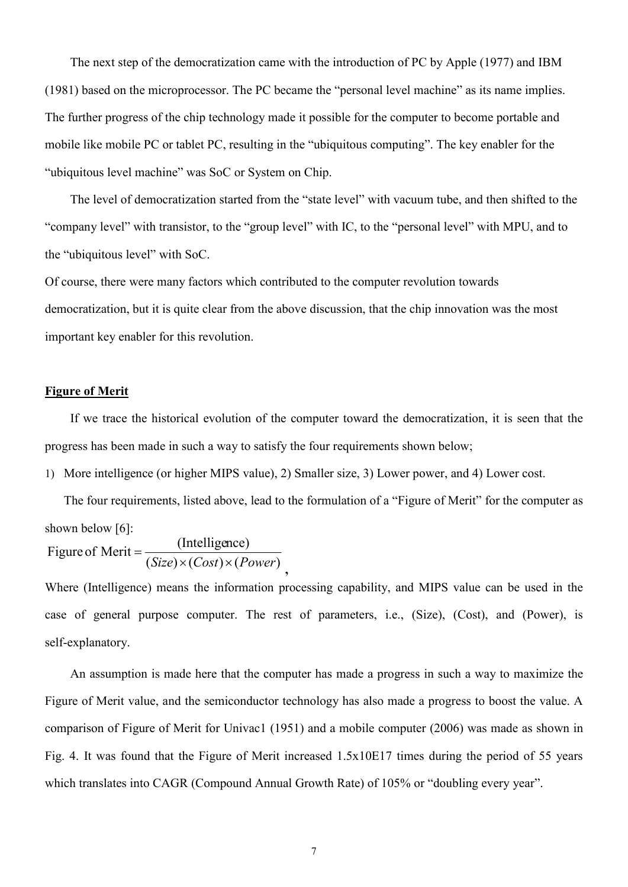The next step of the democratization came with the introduction of PC by Apple (1977) and IBM (1981) based on the microprocessor. The PC became the "personal level machine" as its name implies. The further progress of the chip technology made it possible for the computer to become portable and mobile like mobile PC or tablet PC, resulting in the "ubiquitous computing". The key enabler for the "ubiquitous level machine" was SoC or System on Chip.

 The level of democratization started from the "state level" with vacuum tube, and then shifted to the "company level" with transistor, to the "group level" with IC, to the "personal level" with MPU, and to the "ubiquitous level" with SoC.

Of course, there were many factors which contributed to the computer revolution towards democratization, but it is quite clear from the above discussion, that the chip innovation was the most important key enabler for this revolution.

# **Figure of Merit**

If we trace the historical evolution of the computer toward the democratization, it is seen that the progress has been made in such a way to satisfy the four requirements shown below;

1) More intelligence (or higher MIPS value), 2) Smaller size, 3) Lower power, and 4) Lower cost.

**,**

The four requirements, listed above, lead to the formulation of a "Figure of Merit" for the computer as shown below [6]:

Figure of Merit = 
$$
\frac{\text{(Intelligence)}}{\text{(Size)} \times \text{(Cost)} \times \text{(Power)}}
$$

Where (Intelligence) means the information processing capability, and MIPS value can be used in the case of general purpose computer. The rest of parameters, i.e., (Size), (Cost), and (Power), is self-explanatory.

An assumption is made here that the computer has made a progress in such a way to maximize the Figure of Merit value, and the semiconductor technology has also made a progress to boost the value. A comparison of Figure of Merit for Univac1 (1951) and a mobile computer (2006) was made as shown in Fig. 4. It was found that the Figure of Merit increased 1.5x10E17 times during the period of 55 years which translates into CAGR (Compound Annual Growth Rate) of 105% or "doubling every year".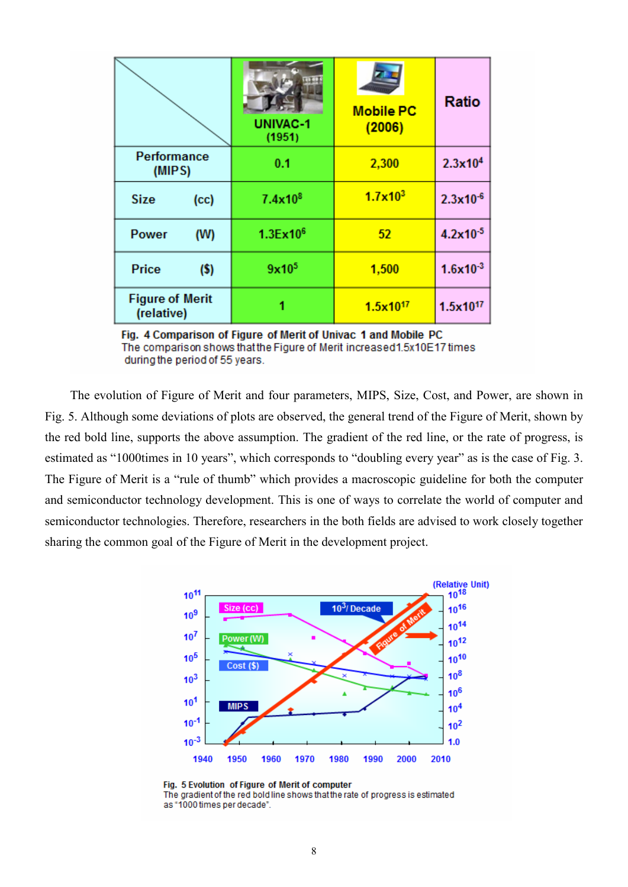|                                      | <b>UNIVAC-1</b><br>(1951) | <b>Mobile PC</b><br>(2006) | Ratio                |
|--------------------------------------|---------------------------|----------------------------|----------------------|
| <b>Performance</b><br>(MIPS)         | 0.1                       | 2,300                      | 2.3x10 <sup>4</sup>  |
| <b>Size</b><br>(cc)                  | 7.4x10 <sup>8</sup>       | $1.7 \times 10^{3}$        | $2.3x10^{-6}$        |
| <b>Power</b><br>(W)                  | 1.3Ex10 <sup>6</sup>      | 52                         | $4.2 \times 10^{-5}$ |
| Price<br>$($ \$)                     | 9x10 <sup>5</sup>         | 1,500                      | $1.6x10^{-3}$        |
| <b>Figure of Merit</b><br>(relative) |                           | $1.5x10^{17}$              | 1.5x10 <sup>17</sup> |

Fig. 4 Comparison of Figure of Merit of Univac 1 and Mobile PC The comparison shows that the Figure of Merit increased1.5x10E17 times during the period of 55 years.

The evolution of Figure of Merit and four parameters, MIPS, Size, Cost, and Power, are shown in Fig. 5. Although some deviations of plots are observed, the general trend of the Figure of Merit, shown by the red bold line, supports the above assumption. The gradient of the red line, or the rate of progress, is estimated as "1000times in 10 years", which corresponds to "doubling every year" as is the case of Fig. 3. The Figure of Merit is a "rule of thumb" which provides a macroscopic guideline for both the computer and semiconductor technology development. This is one of ways to correlate the world of computer and semiconductor technologies. Therefore, researchers in the both fields are advised to work closely together sharing the common goal of the Figure of Merit in the development project.



Fig. 5 Evolution of Figure of Merit of computer The gradient of the red bold line shows that the rate of progress is estimated as "1000 times per decade".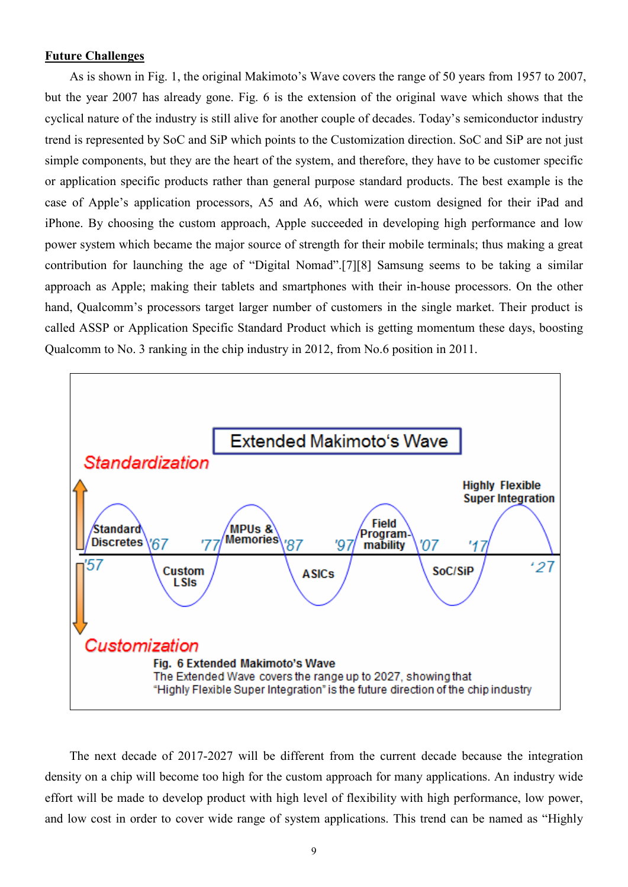# **Future Challenges**

As is shown in Fig. 1, the original Makimoto's Wave covers the range of 50 years from 1957 to 2007, but the year 2007 has already gone. Fig. 6 is the extension of the original wave which shows that the cyclical nature of the industry is still alive for another couple of decades. Today's semiconductor industry trend is represented by SoC and SiP which points to the Customization direction. SoC and SiP are not just simple components, but they are the heart of the system, and therefore, they have to be customer specific or application specific products rather than general purpose standard products. The best example is the case of Apple's application processors, A5 and A6, which were custom designed for their iPad and iPhone. By choosing the custom approach, Apple succeeded in developing high performance and low power system which became the major source of strength for their mobile terminals; thus making a great contribution for launching the age of "Digital Nomad".[7][8] Samsung seems to be taking a similar approach as Apple; making their tablets and smartphones with their in-house processors. On the other hand, Qualcomm's processors target larger number of customers in the single market. Their product is called ASSP or Application Specific Standard Product which is getting momentum these days, boosting Qualcomm to No. 3 ranking in the chip industry in 2012, from No.6 position in 2011.



The next decade of 2017-2027 will be different from the current decade because the integration density on a chip will become too high for the custom approach for many applications. An industry wide effort will be made to develop product with high level of flexibility with high performance, low power, and low cost in order to cover wide range of system applications. This trend can be named as "Highly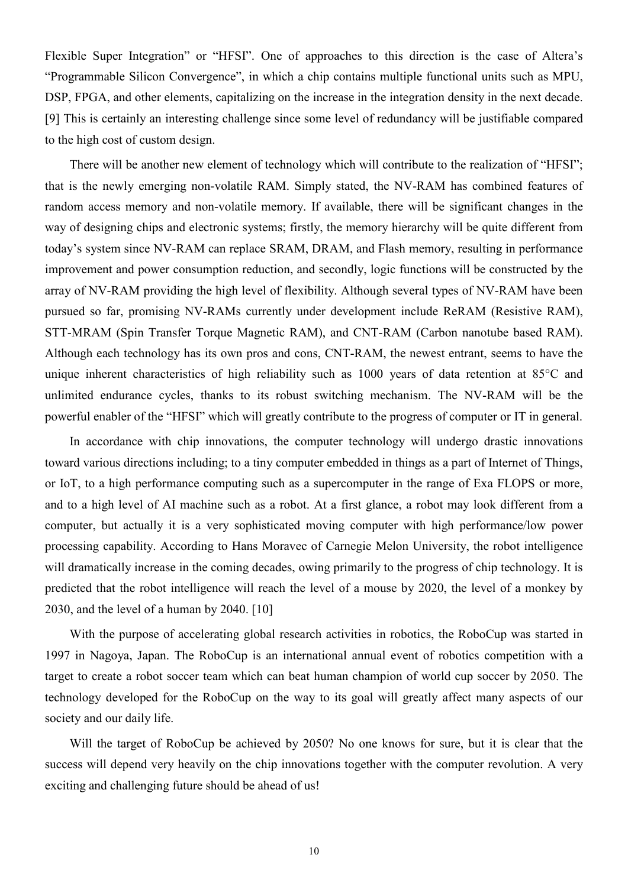Flexible Super Integration" or "HFSI". One of approaches to this direction is the case of Altera's "Programmable Silicon Convergence", in which a chip contains multiple functional units such as MPU, DSP, FPGA, and other elements, capitalizing on the increase in the integration density in the next decade. [9] This is certainly an interesting challenge since some level of redundancy will be justifiable compared to the high cost of custom design.

There will be another new element of technology which will contribute to the realization of "HFSI"; that is the newly emerging non-volatile RAM. Simply stated, the NV-RAM has combined features of random access memory and non-volatile memory. If available, there will be significant changes in the way of designing chips and electronic systems; firstly, the memory hierarchy will be quite different from today's system since NV-RAM can replace SRAM, DRAM, and Flash memory, resulting in performance improvement and power consumption reduction, and secondly, logic functions will be constructed by the array of NV-RAM providing the high level of flexibility. Although several types of NV-RAM have been pursued so far, promising NV-RAMs currently under development include ReRAM (Resistive RAM), STT-MRAM (Spin Transfer Torque Magnetic RAM), and CNT-RAM (Carbon nanotube based RAM). Although each technology has its own pros and cons, CNT-RAM, the newest entrant, seems to have the unique inherent characteristics of high reliability such as 1000 years of data retention at 85°C and unlimited endurance cycles, thanks to its robust switching mechanism. The NV-RAM will be the powerful enabler of the "HFSI" which will greatly contribute to the progress of computer or IT in general.

In accordance with chip innovations, the computer technology will undergo drastic innovations toward various directions including; to a tiny computer embedded in things as a part of Internet of Things, or IoT, to a high performance computing such as a supercomputer in the range of Exa FLOPS or more, and to a high level of AI machine such as a robot. At a first glance, a robot may look different from a computer, but actually it is a very sophisticated moving computer with high performance/low power processing capability. According to Hans Moravec of Carnegie Melon University, the robot intelligence will dramatically increase in the coming decades, owing primarily to the progress of chip technology. It is predicted that the robot intelligence will reach the level of a mouse by 2020, the level of a monkey by 2030, and the level of a human by 2040. [10]

With the purpose of accelerating global research activities in robotics, the RoboCup was started in 1997 in Nagoya, Japan. The RoboCup is an international annual event of robotics competition with a target to create a robot soccer team which can beat human champion of world cup soccer by 2050. The technology developed for the RoboCup on the way to its goal will greatly affect many aspects of our society and our daily life.

Will the target of RoboCup be achieved by 2050? No one knows for sure, but it is clear that the success will depend very heavily on the chip innovations together with the computer revolution. A very exciting and challenging future should be ahead of us!